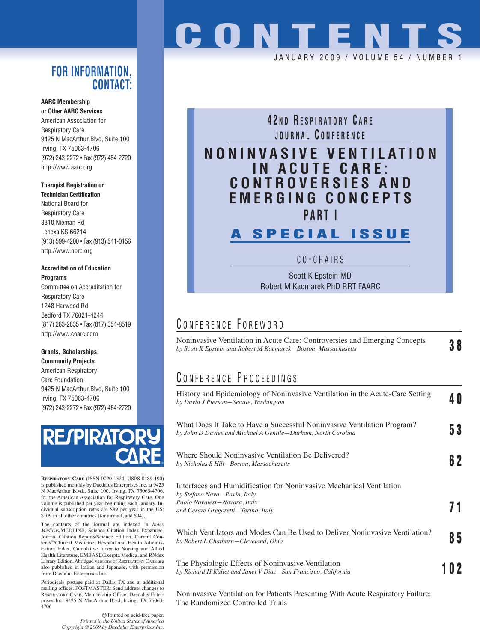#### **FOR INFORMATION, CONTACT:**

#### **AARC Membership or Other AARC Services**

American Association for Respiratory Care 9425 N MacArthur Blvd, Suite 100 Irving, TX 75063-4706 (972) 243-2272 • Fax (972) 484-2720 http://www.aarc.org

#### **Therapist Registration or Technician Certification**

National Board for Respiratory Care 8310 Nieman Rd Lenexa KS 66214 (913) 599-4200 • Fax (913) 541-0156 http://www.nbrc.org

#### **Accreditation of Education Programs**

Committee on Accreditation for Respiratory Care 1248 Harwood Rd Bedford TX 76021-4244 (817) 283-2835 • Fax (817) 354-8519 http://www.coarc.com

#### **Grants, Scholarships, Community Projects**

American Respiratory Care Foundation 9425 N MacArthur Blvd, Suite 100 Irving, TX 75063-4706 (972) 243-2272 • Fax (972) 484-2720



**RESPIRATORY CARE** (ISSN 0020-1324, USPS 0489-190) is published monthly by Daedalus Enterprises Inc, at 9425 N MacArthur Blvd., Suite 100, Irving, TX 75063-4706, for the American Association for Respiratory Care. One volume is published per year beginning each January. In-dividual subscription rates are \$89 per year in the US; \$109 in all other countries (for airmail, add \$94).

The contents of the Journal are indexed in *Index Medicus*/MEDLINE, Science Citation Index Expanded, Journal Citation Reports/Science Edition, Current Contents®/Clinical Medicine, Hospital and Health Administration Index, Cumulative Index to Nursing and Allied Health Literature, EMBASE/Exerpta Medica, and RNdex Library Edition. Abridged versions of RESPIRATORY CARE are also published in Italian and Japanese, with permission from Daedalus Enterprises Inc.

Periodicals postage paid at Dallas TX and at additional mailing offices. POSTMASTER: Send address changes to RESPIRATORY CARE, Membership Office, Daedalus Enterprises Inc, 9425 N MacArthur Blvd, Irving, TX 75063- 4706

> Printed on acid-free paper. *Printed in the United States of America Copyright © 2009 by Daedalus Enterprises Inc.*

# **CONTENTS**

JANUARY 2009 / VOLUME 54 / NUMBE

### **4 2 N D R ESPIRATORY C ARE JOURNAL C ONFERENCE**

## **NONINVASIVE VENTILATION IN ACUTE CARE: CONTROVERSIES AND EMERGING CONCEPTS PART I**

## **A SPECIAL ISSUE**

C O - CHAIRS

Scott K Epstein MD Robert M Kacmarek PhD RRT FAARC

#### CONFERENCE FOREWORD

| Noninvasive Ventilation in Acute Care: Controversies and Emerging Concepts<br>by Scott K Epstein and Robert M Kacmarek–Boston, Massachusetts |  |  |
|----------------------------------------------------------------------------------------------------------------------------------------------|--|--|
|                                                                                                                                              |  |  |

## CONFERENCE PROCEEDINGS

| History and Epidemiology of Noninvasive Ventilation in the Acute-Care Setting<br>by David J Pierson-Seattle, Washington                                                     | 40  |
|-----------------------------------------------------------------------------------------------------------------------------------------------------------------------------|-----|
| What Does It Take to Have a Successful Noninvasive Ventilation Program?<br>by John D Davies and Michael A Gentile-Durham, North Carolina                                    | 53  |
| Where Should Noninvasive Ventilation Be Delivered?<br>by Nicholas S Hill-Boston, Massachusetts                                                                              | 6 2 |
| Interfaces and Humidification for Noninvasive Mechanical Ventilation<br>by Stefano Nava-Pavia, Italy<br>Paolo Navalesi-Novara, Italy<br>and Cesare Gregoretti-Torino, Italy |     |
| Which Ventilators and Modes Can Be Used to Deliver Noninvasive Ventilation?<br>by Robert L Chatburn-Cleveland, Ohio                                                         | 85  |
| The Physiologic Effects of Noninvasive Ventilation<br>by Richard H Kallet and Janet V Diaz-San Francisco, California                                                        | 102 |
| Noninvasive Ventilation for Patients Presenting With Acute Respiratory Failure:                                                                                             |     |

Noninvasive Ventilation for Patients Presenting With Acute Respiratory Failure: The Randomized Controlled Trials